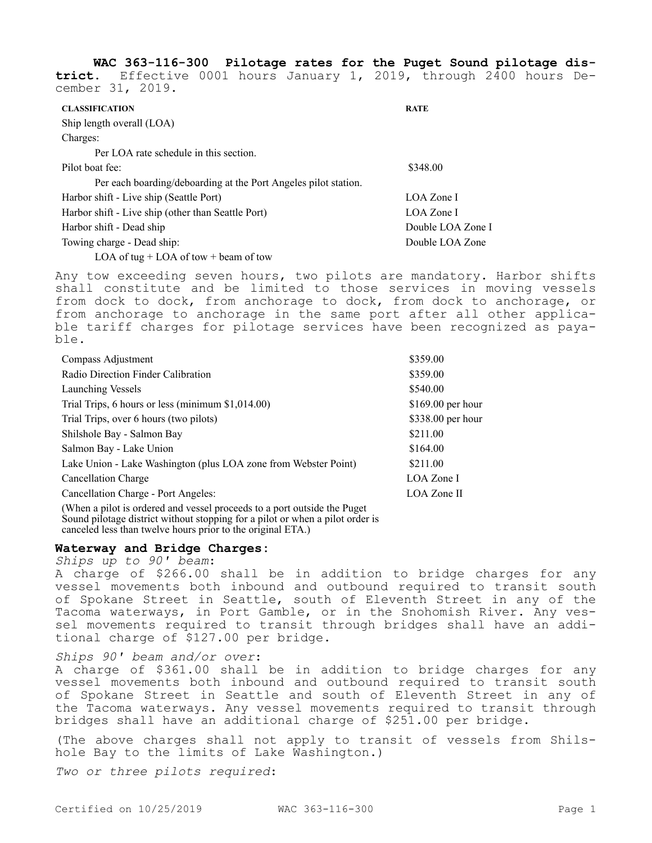**WAC 363-116-300 Pilotage rates for the Puget Sound pilotage district.** Effective 0001 hours January 1, 2019, through 2400 hours December 31, 2019.

| <b>CLASSIFICATION</b>                                                                                                                                                         | <b>RATE</b>       |
|-------------------------------------------------------------------------------------------------------------------------------------------------------------------------------|-------------------|
| Ship length overall (LOA)                                                                                                                                                     |                   |
| Charges:                                                                                                                                                                      |                   |
| Per LOA rate schedule in this section.                                                                                                                                        |                   |
| Pilot boat fee:                                                                                                                                                               | \$348.00          |
| Per each boarding/deboarding at the Port Angeles pilot station.                                                                                                               |                   |
| Harbor shift - Live ship (Seattle Port)                                                                                                                                       | LOA Zone I        |
| Harbor shift - Live ship (other than Seattle Port)                                                                                                                            | LOA Zone I        |
| Harbor shift - Dead ship                                                                                                                                                      | Double LOA Zone I |
| Towing charge - Dead ship:                                                                                                                                                    | Double LOA Zone   |
| $\mathbf{L} \cap \mathbf{L}$ $\mathbf{L} \cap \mathbf{L}$ $\mathbf{L} \cap \mathbf{L}$ $\mathbf{L} \cap \mathbf{L}$ $\mathbf{L} \cap \mathbf{L}$ $\mathbf{L} \cap \mathbf{L}$ |                   |

LOA of tug  $+$  LOA of tow  $+$  beam of tow

Any tow exceeding seven hours, two pilots are mandatory. Harbor shifts shall constitute and be limited to those services in moving vessels from dock to dock, from anchorage to dock, from dock to anchorage, or from anchorage to anchorage in the same port after all other applicable tariff charges for pilotage services have been recognized as payable.

| Compass Adjustment                                                | \$359.00           |
|-------------------------------------------------------------------|--------------------|
| Radio Direction Finder Calibration                                | \$359.00           |
| Launching Vessels                                                 | \$540.00           |
| Trial Trips, 6 hours or less (minimum \$1,014.00)                 | $$169.00$ per hour |
| Trial Trips, over 6 hours (two pilots)                            | \$338.00 per hour  |
| Shilshole Bay - Salmon Bay                                        | \$211.00           |
| Salmon Bay - Lake Union                                           | \$164.00           |
| Lake Union - Lake Washington (plus LOA zone from Webster Point)   | \$211.00           |
| Cancellation Charge                                               | LOA Zone I         |
| Cancellation Charge - Port Angeles:                               | LOA Zone II        |
| $\mathbf{1}$ . The set of $\mathbf{1}$ is the set of $\mathbf{1}$ |                    |

(When a pilot is ordered and vessel proceeds to a port outside the Puget Sound pilotage district without stopping for a pilot or when a pilot order is canceled less than twelve hours prior to the original ETA.)

## **Waterway and Bridge Charges:**

*Ships up to 90' beam*:

A charge of \$266.00 shall be in addition to bridge charges for any vessel movements both inbound and outbound required to transit south of Spokane Street in Seattle, south of Eleventh Street in any of the Tacoma waterways, in Port Gamble, or in the Snohomish River. Any vessel movements required to transit through bridges shall have an additional charge of \$127.00 per bridge.

## *Ships 90' beam and/or over*:

A charge of \$361.00 shall be in addition to bridge charges for any vessel movements both inbound and outbound required to transit south of Spokane Street in Seattle and south of Eleventh Street in any of the Tacoma waterways. Any vessel movements required to transit through bridges shall have an additional charge of \$251.00 per bridge.

(The above charges shall not apply to transit of vessels from Shilshole Bay to the limits of Lake Washington.)

*Two or three pilots required*: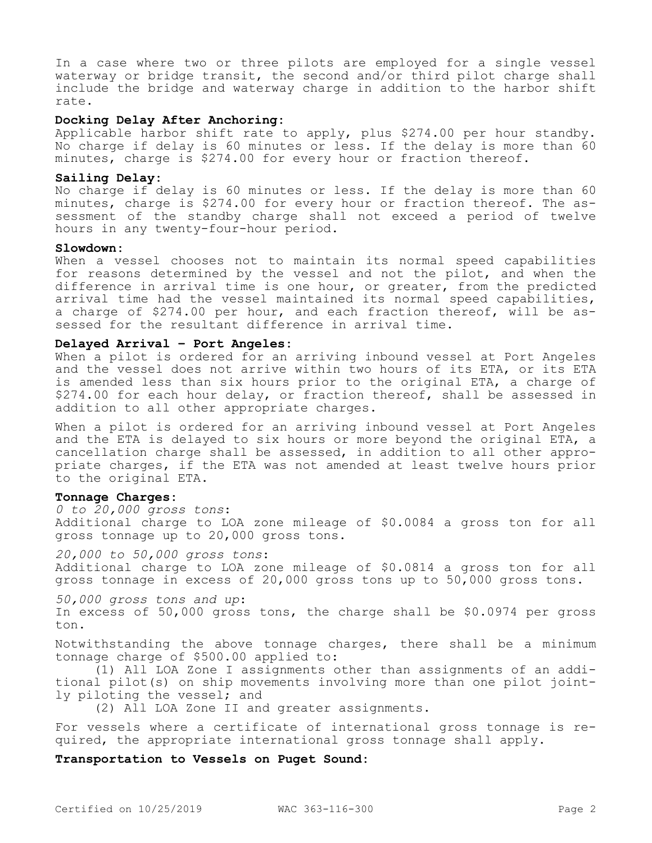In a case where two or three pilots are employed for a single vessel waterway or bridge transit, the second and/or third pilot charge shall include the bridge and waterway charge in addition to the harbor shift rate.

## **Docking Delay After Anchoring:**

Applicable harbor shift rate to apply, plus \$274.00 per hour standby. No charge if delay is 60 minutes or less. If the delay is more than 60 minutes, charge is \$274.00 for every hour or fraction thereof.

#### **Sailing Delay:**

No charge if delay is 60 minutes or less. If the delay is more than 60 minutes, charge is \$274.00 for every hour or fraction thereof. The assessment of the standby charge shall not exceed a period of twelve hours in any twenty-four-hour period.

## **Slowdown:**

When a vessel chooses not to maintain its normal speed capabilities for reasons determined by the vessel and not the pilot, and when the difference in arrival time is one hour, or greater, from the predicted arrival time had the vessel maintained its normal speed capabilities, a charge of \$274.00 per hour, and each fraction thereof, will be assessed for the resultant difference in arrival time.

## **Delayed Arrival – Port Angeles:**

When a pilot is ordered for an arriving inbound vessel at Port Angeles and the vessel does not arrive within two hours of its ETA, or its ETA is amended less than six hours prior to the original ETA, a charge of \$274.00 for each hour delay, or fraction thereof, shall be assessed in addition to all other appropriate charges.

When a pilot is ordered for an arriving inbound vessel at Port Angeles and the ETA is delayed to six hours or more beyond the original ETA, a cancellation charge shall be assessed, in addition to all other appropriate charges, if the ETA was not amended at least twelve hours prior to the original ETA.

## **Tonnage Charges:**

*0 to 20,000 gross tons*: Additional charge to LOA zone mileage of \$0.0084 a gross ton for all gross tonnage up to 20,000 gross tons.

*20,000 to 50,000 gross tons*: Additional charge to LOA zone mileage of \$0.0814 a gross ton for all gross tonnage in excess of 20,000 gross tons up to 50,000 gross tons.

*50,000 gross tons and up*: In excess of 50,000 gross tons, the charge shall be \$0.0974 per gross ton.

Notwithstanding the above tonnage charges, there shall be a minimum tonnage charge of \$500.00 applied to:

(1) All LOA Zone I assignments other than assignments of an additional pilot(s) on ship movements involving more than one pilot jointly piloting the vessel; and

(2) All LOA Zone II and greater assignments.

For vessels where a certificate of international gross tonnage is required, the appropriate international gross tonnage shall apply.

## **Transportation to Vessels on Puget Sound:**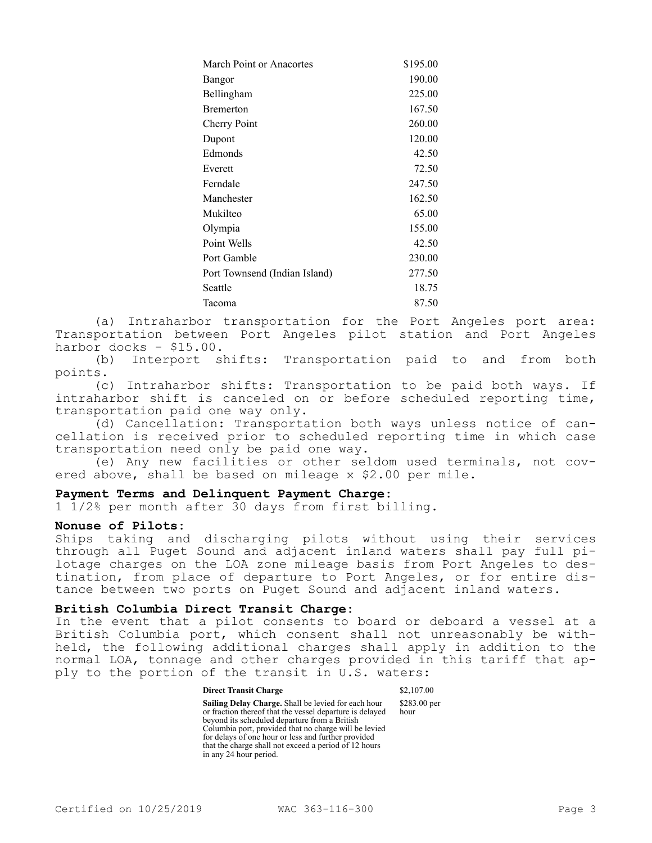| March Point or Anacortes      | \$195.00 |
|-------------------------------|----------|
| Bangor                        | 190.00   |
| Bellingham                    | 225.00   |
| Bremerton                     | 167.50   |
| <b>Cherry Point</b>           | 260.00   |
| Dupont                        | 120.00   |
| Edmonds                       | 42.50    |
| Everett                       | 72.50    |
| Ferndale                      | 247.50   |
| Manchester                    | 162.50   |
| Mukilteo                      | 65.00    |
| Olympia                       | 155.00   |
| Point Wells                   | 42.50    |
| Port Gamble                   | 230.00   |
| Port Townsend (Indian Island) | 277.50   |
| Seattle                       | 18.75    |
| Tacoma                        | 87.50    |
|                               |          |

(a) Intraharbor transportation for the Port Angeles port area: Transportation between Port Angeles pilot station and Port Angeles harbor docks - \$15.00.

(b) Interport shifts: Transportation paid to and from both points.

(c) Intraharbor shifts: Transportation to be paid both ways. If intraharbor shift is canceled on or before scheduled reporting time, transportation paid one way only.

(d) Cancellation: Transportation both ways unless notice of cancellation is received prior to scheduled reporting time in which case transportation need only be paid one way.

(e) Any new facilities or other seldom used terminals, not covered above, shall be based on mileage x \$2.00 per mile.

# **Payment Terms and Delinquent Payment Charge:**

1 1/2% per month after 30 days from first billing.

## **Nonuse of Pilots:**

Ships taking and discharging pilots without using their services through all Puget Sound and adjacent inland waters shall pay full pilotage charges on the LOA zone mileage basis from Port Angeles to destination, from place of departure to Port Angeles, or for entire distance between two ports on Puget Sound and adjacent inland waters.

# **British Columbia Direct Transit Charge:**

In the event that a pilot consents to board or deboard a vessel at a British Columbia port, which consent shall not unreasonably be withheld, the following additional charges shall apply in addition to the normal LOA, tonnage and other charges provided in this tariff that apply to the portion of the transit in U.S. waters:

#### **Direct Transit Charge** \$2,107.00

**Sailing Delay Charge.** Shall be levied for each hour or fraction thereof that the vessel departure is delayed beyond its scheduled departure from a British Columbia port, provided that no charge will be levied for delays of one hour or less and further provided that the charge shall not exceed a period of 12 hours in any 24 hour period. \$283.00 per hour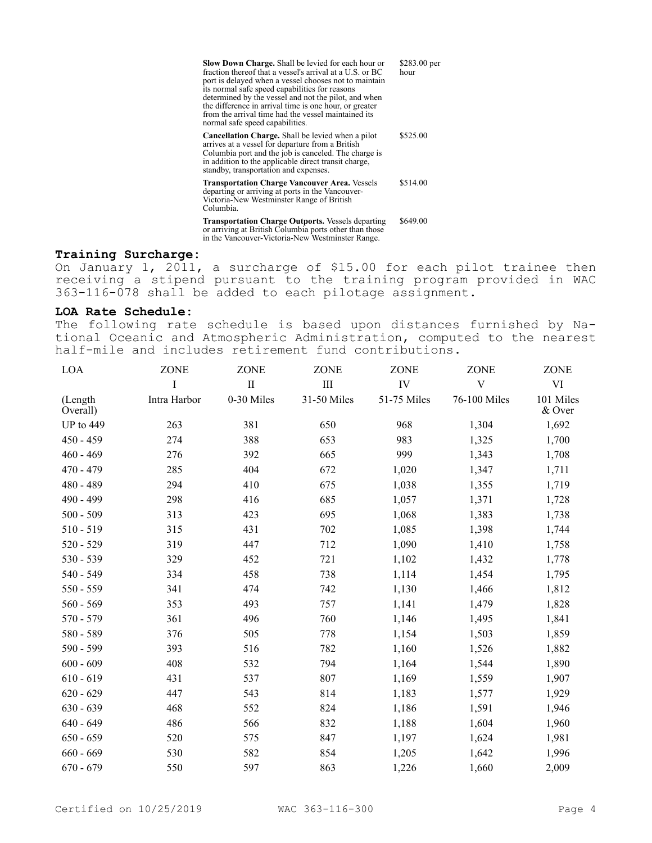| <b>Slow Down Charge.</b> Shall be levied for each hour or<br>fraction thereof that a vessel's arrival at a U.S. or BC<br>port is delayed when a vessel chooses not to maintain<br>its normal safe speed capabilities for reasons<br>determined by the vessel and not the pilot, and when<br>the difference in arrival time is one hour, or greater<br>from the arrival time had the vessel maintained its<br>normal safe speed capabilities. | \$283.00 per<br>hour |
|----------------------------------------------------------------------------------------------------------------------------------------------------------------------------------------------------------------------------------------------------------------------------------------------------------------------------------------------------------------------------------------------------------------------------------------------|----------------------|
| <b>Cancellation Charge.</b> Shall be levied when a pilot<br>arrives at a vessel for departure from a British<br>Columbia port and the job is canceled. The charge is<br>in addition to the applicable direct transit charge,<br>standby, transportation and expenses.                                                                                                                                                                        | \$525.00             |
| <b>Transportation Charge Vancouver Area. Vessels</b><br>departing or arriving at ports in the Vancouver-<br>Victoria-New Westminster Range of British<br>Columbia.                                                                                                                                                                                                                                                                           | \$514.00             |
| <b>Transportation Charge Outports.</b> Vessels departing<br>or arriving at British Columbia ports other than those<br>in the Vancouver-Victoria-New Westminster Range.                                                                                                                                                                                                                                                                       | \$649.00             |

# **Training Surcharge:**

On January 1, 2011, a surcharge of \$15.00 for each pilot trainee then receiving a stipend pursuant to the training program provided in WAC 363-116-078 shall be added to each pilotage assignment.

## **LOA Rate Schedule:**

The following rate schedule is based upon distances furnished by National Oceanic and Atmospheric Administration, computed to the nearest half-mile and includes retirement fund contributions.

| LOA                 | <b>ZONE</b>  | <b>ZONE</b>  | <b>ZONE</b> | <b>ZONE</b> | <b>ZONE</b>    | ZONE                |
|---------------------|--------------|--------------|-------------|-------------|----------------|---------------------|
|                     | I            | $\mathbf{I}$ | $\rm III$   | IV          | $\overline{V}$ | VI                  |
| (Length<br>Overall) | Intra Harbor | 0-30 Miles   | 31-50 Miles | 51-75 Miles | 76-100 Miles   | 101 Miles<br>& Over |
| UP to $449$         | 263          | 381          | 650         | 968         | 1,304          | 1,692               |
| $450 - 459$         | 274          | 388          | 653         | 983         | 1,325          | 1,700               |
| $460 - 469$         | 276          | 392          | 665         | 999         | 1,343          | 1,708               |
| $470 - 479$         | 285          | 404          | 672         | 1,020       | 1,347          | 1,711               |
| 480 - 489           | 294          | 410          | 675         | 1,038       | 1,355          | 1,719               |
| 490 - 499           | 298          | 416          | 685         | 1,057       | 1,371          | 1,728               |
| $500 - 509$         | 313          | 423          | 695         | 1,068       | 1,383          | 1,738               |
| $510 - 519$         | 315          | 431          | 702         | 1,085       | 1,398          | 1,744               |
| $520 - 529$         | 319          | 447          | 712         | 1,090       | 1,410          | 1,758               |
| 530 - 539           | 329          | 452          | 721         | 1,102       | 1,432          | 1,778               |
| 540 - 549           | 334          | 458          | 738         | 1,114       | 1,454          | 1,795               |
| 550 - 559           | 341          | 474          | 742         | 1,130       | 1,466          | 1,812               |
| $560 - 569$         | 353          | 493          | 757         | 1,141       | 1,479          | 1,828               |
| 570 - 579           | 361          | 496          | 760         | 1,146       | 1,495          | 1,841               |
| 580 - 589           | 376          | 505          | 778         | 1,154       | 1,503          | 1,859               |
| 590 - 599           | 393          | 516          | 782         | 1,160       | 1,526          | 1,882               |
| $600 - 609$         | 408          | 532          | 794         | 1,164       | 1,544          | 1,890               |
| $610 - 619$         | 431          | 537          | 807         | 1,169       | 1,559          | 1,907               |
| $620 - 629$         | 447          | 543          | 814         | 1,183       | 1,577          | 1,929               |
| $630 - 639$         | 468          | 552          | 824         | 1,186       | 1,591          | 1,946               |
| $640 - 649$         | 486          | 566          | 832         | 1,188       | 1,604          | 1,960               |
| $650 - 659$         | 520          | 575          | 847         | 1,197       | 1,624          | 1,981               |
| $660 - 669$         | 530          | 582          | 854         | 1,205       | 1,642          | 1,996               |
| $670 - 679$         | 550          | 597          | 863         | 1,226       | 1,660          | 2,009               |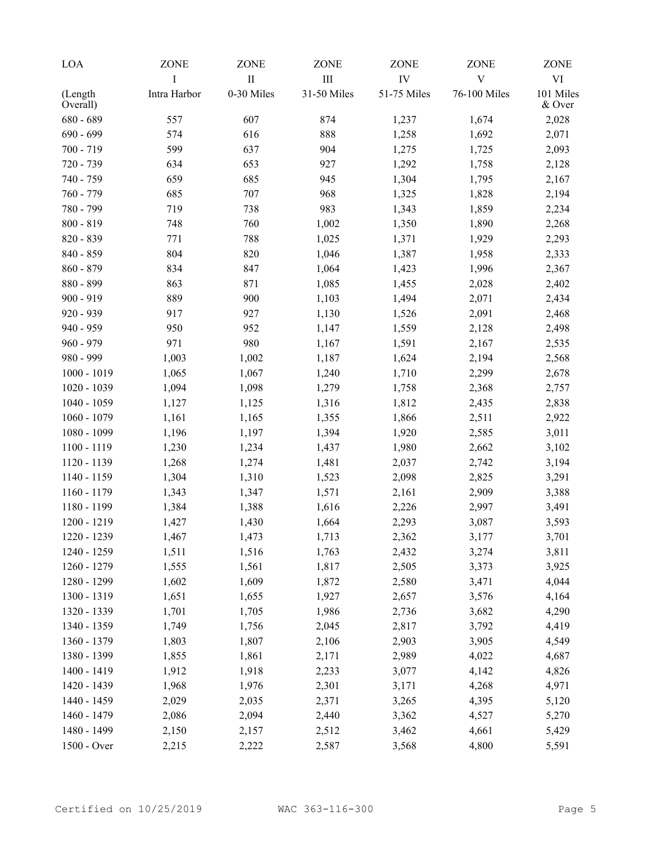| LOA                 | ZONE         | ZONE       | <b>ZONE</b> | <b>ZONE</b> | <b>ZONE</b>  | <b>ZONE</b>         |
|---------------------|--------------|------------|-------------|-------------|--------------|---------------------|
|                     | I            | $\rm II$   | III         | IV          | $\mathbf V$  | VI                  |
| (Length<br>Overall) | Intra Harbor | 0-30 Miles | 31-50 Miles | 51-75 Miles | 76-100 Miles | 101 Miles<br>& Over |
| $680 - 689$         | 557          | 607        | 874         | 1,237       | 1,674        | 2,028               |
| $690 - 699$         | 574          | 616        | 888         | 1,258       | 1,692        | 2,071               |
| $700 - 719$         | 599          | 637        | 904         | 1,275       | 1,725        | 2,093               |
| 720 - 739           | 634          | 653        | 927         | 1,292       | 1,758        | 2,128               |
| 740 - 759           | 659          | 685        | 945         | 1,304       | 1,795        | 2,167               |
| 760 - 779           | 685          | 707        | 968         | 1,325       | 1,828        | 2,194               |
| 780 - 799           | 719          | 738        | 983         | 1,343       | 1,859        | 2,234               |
| $800 - 819$         | 748          | 760        | 1,002       | 1,350       | 1,890        | 2,268               |
| 820 - 839           | 771          | 788        | 1,025       | 1,371       | 1,929        | 2,293               |
| 840 - 859           | 804          | 820        | 1,046       | 1,387       | 1,958        | 2,333               |
| $860 - 879$         | 834          | 847        | 1,064       | 1,423       | 1,996        | 2,367               |
| 880 - 899           | 863          | 871        | 1,085       | 1,455       | 2,028        | 2,402               |
| $900 - 919$         | 889          | 900        | 1,103       | 1,494       | 2,071        | 2,434               |
| 920 - 939           | 917          | 927        | 1,130       | 1,526       | 2,091        | 2,468               |
| 940 - 959           | 950          | 952        | 1,147       | 1,559       | 2,128        | 2,498               |
| $960 - 979$         | 971          | 980        | 1,167       | 1,591       | 2,167        | 2,535               |
| 980 - 999           | 1,003        | 1,002      | 1,187       | 1,624       | 2,194        | 2,568               |
| $1000 - 1019$       | 1,065        | 1,067      | 1,240       | 1,710       | 2,299        | 2,678               |
| 1020 - 1039         | 1,094        | 1,098      | 1,279       | 1,758       | 2,368        | 2,757               |
| 1040 - 1059         | 1,127        | 1,125      | 1,316       | 1,812       | 2,435        | 2,838               |
| $1060 - 1079$       | 1,161        | 1,165      | 1,355       | 1,866       | 2,511        | 2,922               |
| 1080 - 1099         | 1,196        | 1,197      | 1,394       | 1,920       | 2,585        | 3,011               |
| 1100 - 1119         | 1,230        | 1,234      | 1,437       | 1,980       | 2,662        | 3,102               |
| 1120 - 1139         | 1,268        | 1,274      | 1,481       | 2,037       | 2,742        | 3,194               |
| 1140 - 1159         | 1,304        | 1,310      | 1,523       | 2,098       | 2,825        | 3,291               |
| 1160 - 1179         | 1,343        | 1,347      | 1,571       | 2,161       | 2,909        | 3,388               |
| 1180 - 1199         | 1,384        | 1,388      | 1,616       | 2,226       | 2,997        | 3,491               |
| 1200 - 1219         | 1,427        | 1,430      | 1,664       | 2,293       | 3,087        | 3,593               |
| 1220 - 1239         | 1,467        | 1,473      | 1,713       | 2,362       | 3,177        | 3,701               |
| 1240 - 1259         | 1,511        | 1,516      | 1,763       | 2,432       | 3,274        | 3,811               |
| 1260 - 1279         | 1,555        | 1,561      | 1,817       | 2,505       | 3,373        | 3,925               |
| 1280 - 1299         | 1,602        | 1,609      | 1,872       | 2,580       | 3,471        | 4,044               |
| 1300 - 1319         | 1,651        | 1,655      | 1,927       | 2,657       | 3,576        | 4,164               |
| 1320 - 1339         | 1,701        | 1,705      | 1,986       | 2,736       | 3,682        | 4,290               |
| 1340 - 1359         | 1,749        | 1,756      | 2,045       | 2,817       | 3,792        | 4,419               |
| 1360 - 1379         | 1,803        | 1,807      | 2,106       | 2,903       | 3,905        | 4,549               |
| 1380 - 1399         | 1,855        | 1,861      | 2,171       | 2,989       | 4,022        | 4,687               |
| 1400 - 1419         | 1,912        | 1,918      | 2,233       | 3,077       | 4,142        | 4,826               |
| 1420 - 1439         | 1,968        | 1,976      | 2,301       | 3,171       | 4,268        | 4,971               |
| 1440 - 1459         | 2,029        | 2,035      | 2,371       | 3,265       | 4,395        | 5,120               |
| 1460 - 1479         | 2,086        | 2,094      | 2,440       | 3,362       | 4,527        | 5,270               |
| 1480 - 1499         | 2,150        | 2,157      | 2,512       | 3,462       | 4,661        | 5,429               |
| 1500 - Over         | 2,215        | 2,222      | 2,587       | 3,568       | 4,800        | 5,591               |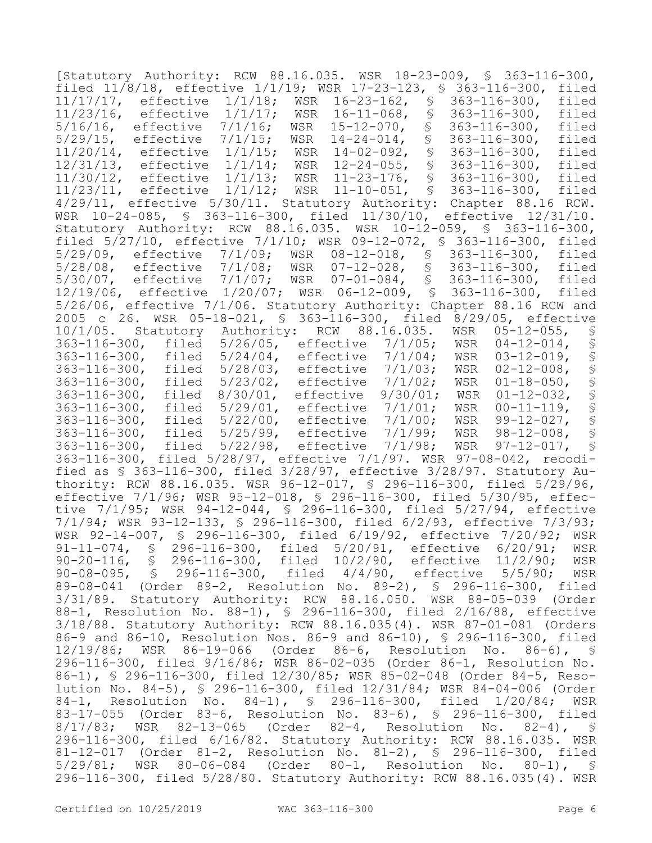[Statutory Authority: RCW 88.16.035. WSR 18-23-009, § 363-116-300, filed  $11/8/18$ , effective  $1/1/19$ ; WSR 17-23-123, § 363-116-300, filed  $11/17/17$ , effective  $1/1/18$ ; WSR 16-23-162, § 363-116-300, filed 11/17/17, effective 1/1/18; WSR 16-23-162, § 363-116-300, filed<br>11/23/16, effective 1/1/17; WSR 16-11-068, § 363-116-300, filed 11/23/16, effective 1/1/17; WSR 16-11-068, § 363-116-300, filed 5/16/16, effective 7/1/16; WSR 15-12-070, § 363-116-300, filed 5/29/16-300, filed<br>14-02-092, § 363-116-300, filed<br>12-24-055, § 363-116-300, filed 11/20/14, effective 1/1/15; WSR 14-02-092, § 363-116-300,<br>12/31/13, effective 1/1/14; WSR 12-24-055, § 363-116-300, 12/31/13, effective 1/1/14; WSR 12-24-055, § 363-116-300, filed<br>11/30/12, effective 1/1/13; WSR 11-23-176, § 363-116-300, filed<br>11/23/11, effective 1/1/12; WSR 11-10-051, § 363-116-300, filed 11/30/12, effective 1/1/13; WSR 11-23-176, § 363-116-300, filed 11/23/11, effective 1/1/12; WSR 11-10-051, § 363-116-300, filed 4/29/11, effective 5/30/11. Statutory Authority: Chapter 88.16 RCW. WSR 10-24-085, § 363-116-300, filed 11/30/10, effective 12/31/10. Statutory Authority: RCW 88.16.035. WSR 10-12-059, § 363-116-300, filed 5/27/10, effective 7/1/10; WSR 09-12-072, § 363-116-300, filed 5/29/09, effective 7/1/09; WSR 08-12-018, § 5/28/08, effective 7/1/08; WSR 07-12-028, § 363-116-300, filed 5/30/07, effective 7/1/07; WSR 07-01-084, § 363-116-300, filed 12/19/06, effective 1/20/07; WSR 06-12-009, § 363-116-300, filed 5/26/06, effective 7/1/06. Statutory Authority: Chapter 88.16 RCW and 2005 c 26. WSR 05-18-021, § 363-116-300, filed 8/29/05, effective 10/1/05. Statutory Authority: RCW 88.16.035. WSR 05-12-055, §<br>363-116-300, filed 5/26/05, effective 7/1/05; WSR 04-12-014, § 363-116-300, filed 5/26/05, effective 7/1/05; WSR 04-12-014, § 363-116-300, filed 5/24/04, effective 7/1/04; WSR 03-12-019, § 5/28/03, effective 7/1/03; WSR 02-12-008, §<br>5/23/02, effective 7/1/02; WSR 01-18-050, § 363-116-300, filed 5/23/02, effective 7/1/02; WSR 01-18-050, § 363-116-300, filed 8/30/01, effective 9/30/01; WSR 01-12-032, § 363-116-300, filed 5/29/01, effective 7/1/01; WSR 00-11-119, § 363-116-300, filed 5/22/00, effective 7/1/00; WSR 99-12-027, § 5/25/99, effective 7/1/99; WSR 98-12-008, §<br>5/22/98, effective 7/1/98; WSR 97-12-017, § 363-116-300, filed 5/22/98, effective 7/1/98; WSR 363-116-300, filed 5/28/97, effective 7/1/97. WSR 97-08-042, recodified as § 363-116-300, filed 3/28/97, effective 3/28/97. Statutory Authority: RCW 88.16.035. WSR 96-12-017, § 296-116-300, filed 5/29/96, effective 7/1/96; WSR 95-12-018, § 296-116-300, filed 5/30/95, effective 7/1/95; WSR 94-12-044, § 296-116-300, filed 5/27/94, effective 7/1/94; WSR 93-12-133, § 296-116-300, filed 6/2/93, effective 7/3/93; WSR 92-14-007, § 296-116-300, filed 6/19/92, effective 7/20/92; WSR 91-11-074, \$ 296-116-300, filed 5/20/91, effective 6/20/91; WSR<br>90-20-116, \$ 296-116-300, filed 10/2/90, effective 11/2/90; WSR 90-20-116, § 296-116-300, filed 10/2/90, effective 11/2/90; WSR 90-08-095, § 296-116-300, filed 4/4/90, effective 5/5/90; WSR 89-08-041 (Order 89-2, Resolution No. 89-2), § 296-116-300, filed 3/31/89. Statutory Authority: RCW 88.16.050. WSR 88-05-039 (Order 88-1, Resolution No. 88-1), § 296-116-300, filed 2/16/88, effective 3/18/88. Statutory Authority: RCW 88.16.035(4). WSR 87-01-081 (Orders 86-9 and 86-10, Resolution Nos. 86-9 and 86-10), § 296-116-300, filed 12/19/86; WSR 86-19-066 (Order 86-6, Resolution No. 86-6), § 296-116-300, filed 9/16/86; WSR 86-02-035 (Order 86-1, Resolution No. 86-1), § 296-116-300, filed 12/30/85; WSR 85-02-048 (Order 84-5, Resolution No. 84-5), § 296-116-300, filed 12/31/84; WSR 84-04-006 (Order 84-1, Resolution No. 84-1), § 296-116-300, filed 1/20/84; WSR 83-17-055 (Order 83-6, Resolution No. 83-6), § 296-116-300, filed 8/17/83; WSR 82-13-065 (Order 82-4, Resolution No. 82-4), § 296-116-300, filed 6/16/82. Statutory Authority: RCW 88.16.035. WSR 81-12-017 (Order 81-2, Resolution No. 81-2), § 296-116-300, filed 5/29/81; WSR 80-06-084 (Order 80-1, Resolution No. 80-1), § 296-116-300, filed 5/28/80. Statutory Authority: RCW 88.16.035(4). WSR